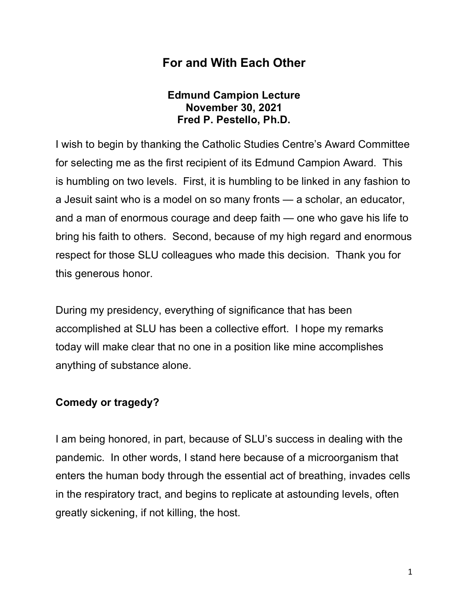## **For and With Each Other**

### **Edmund Campion Lecture November 30, 2021 Fred P. Pestello, Ph.D.**

I wish to begin by thanking the Catholic Studies Centre's Award Committee for selecting me as the first recipient of its Edmund Campion Award. This is humbling on two levels. First, it is humbling to be linked in any fashion to a Jesuit saint who is a model on so many fronts — a scholar, an educator, and a man of enormous courage and deep faith — one who gave his life to bring his faith to others. Second, because of my high regard and enormous respect for those SLU colleagues who made this decision. Thank you for this generous honor.

During my presidency, everything of significance that has been accomplished at SLU has been a collective effort. I hope my remarks today will make clear that no one in a position like mine accomplishes anything of substance alone.

## **Comedy or tragedy?**

I am being honored, in part, because of SLU's success in dealing with the pandemic. In other words, I stand here because of a microorganism that enters the human body through the essential act of breathing, invades cells in the respiratory tract, and begins to replicate at astounding levels, often greatly sickening, if not killing, the host.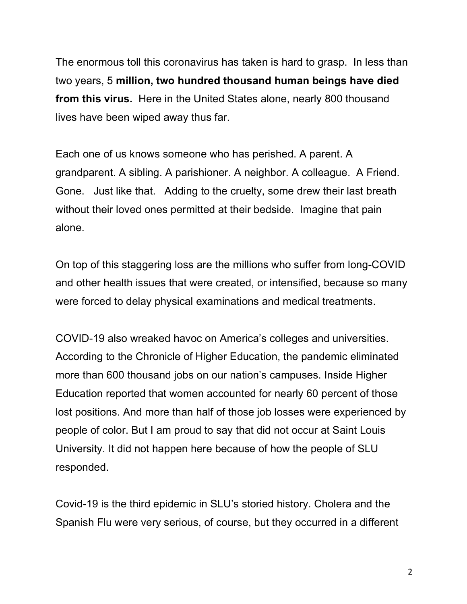The enormous toll this coronavirus has taken is hard to grasp. In less than two years, 5 **million, two hundred thousand human beings have died from this virus.** Here in the United States alone, nearly 800 thousand lives have been wiped away thus far.

Each one of us knows someone who has perished. A parent. A grandparent. A sibling. A parishioner. A neighbor. A colleague. A Friend. Gone. Just like that. Adding to the cruelty, some drew their last breath without their loved ones permitted at their bedside. Imagine that pain alone.

On top of this staggering loss are the millions who suffer from long-COVID and other health issues that were created, or intensified, because so many were forced to delay physical examinations and medical treatments.

COVID-19 also wreaked havoc on America's colleges and universities. According to the Chronicle of Higher Education, the pandemic eliminated more than 600 thousand jobs on our nation's campuses. Inside Higher Education reported that women accounted for nearly 60 percent of those lost positions. And more than half of those job losses were experienced by people of color. But I am proud to say that did not occur at Saint Louis University. It did not happen here because of how the people of SLU responded.

Covid-19 is the third epidemic in SLU's storied history. Cholera and the Spanish Flu were very serious, of course, but they occurred in a different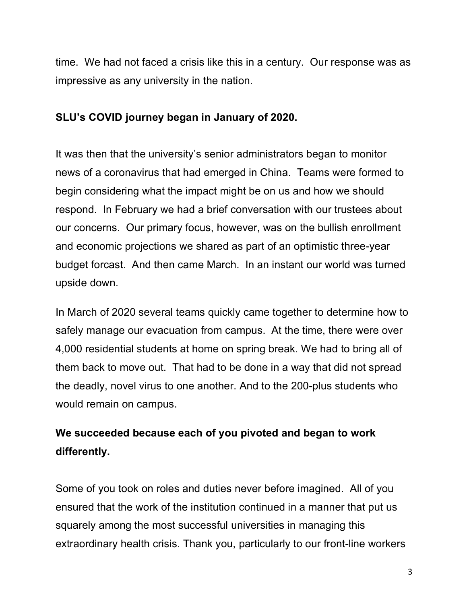time. We had not faced a crisis like this in a century. Our response was as impressive as any university in the nation.

### **SLU's COVID journey began in January of 2020.**

It was then that the university's senior administrators began to monitor news of a coronavirus that had emerged in China. Teams were formed to begin considering what the impact might be on us and how we should respond. In February we had a brief conversation with our trustees about our concerns. Our primary focus, however, was on the bullish enrollment and economic projections we shared as part of an optimistic three-year budget forcast. And then came March. In an instant our world was turned upside down.

In March of 2020 several teams quickly came together to determine how to safely manage our evacuation from campus. At the time, there were over 4,000 residential students at home on spring break. We had to bring all of them back to move out. That had to be done in a way that did not spread the deadly, novel virus to one another. And to the 200-plus students who would remain on campus.

# **We succeeded because each of you pivoted and began to work differently.**

Some of you took on roles and duties never before imagined. All of you ensured that the work of the institution continued in a manner that put us squarely among the most successful universities in managing this extraordinary health crisis. Thank you, particularly to our front-line workers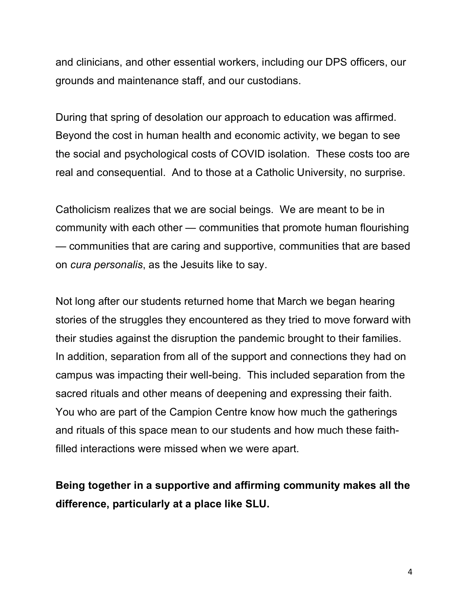and clinicians, and other essential workers, including our DPS officers, our grounds and maintenance staff, and our custodians.

During that spring of desolation our approach to education was affirmed. Beyond the cost in human health and economic activity, we began to see the social and psychological costs of COVID isolation. These costs too are real and consequential. And to those at a Catholic University, no surprise.

Catholicism realizes that we are social beings. We are meant to be in community with each other — communities that promote human flourishing — communities that are caring and supportive, communities that are based on *cura personalis*, as the Jesuits like to say.

Not long after our students returned home that March we began hearing stories of the struggles they encountered as they tried to move forward with their studies against the disruption the pandemic brought to their families. In addition, separation from all of the support and connections they had on campus was impacting their well-being. This included separation from the sacred rituals and other means of deepening and expressing their faith. You who are part of the Campion Centre know how much the gatherings and rituals of this space mean to our students and how much these faithfilled interactions were missed when we were apart.

**Being together in a supportive and affirming community makes all the difference, particularly at a place like SLU.**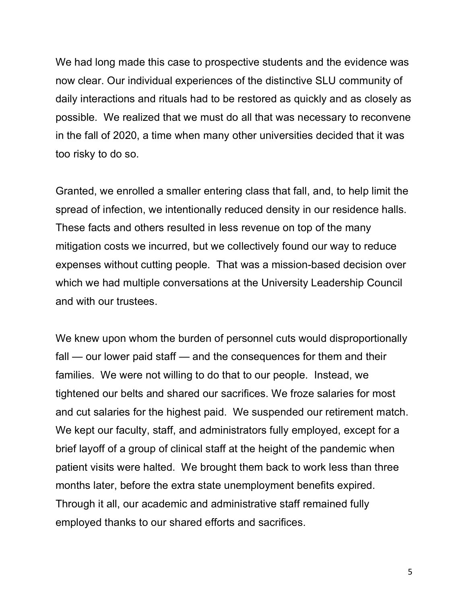We had long made this case to prospective students and the evidence was now clear. Our individual experiences of the distinctive SLU community of daily interactions and rituals had to be restored as quickly and as closely as possible. We realized that we must do all that was necessary to reconvene in the fall of 2020, a time when many other universities decided that it was too risky to do so.

Granted, we enrolled a smaller entering class that fall, and, to help limit the spread of infection, we intentionally reduced density in our residence halls. These facts and others resulted in less revenue on top of the many mitigation costs we incurred, but we collectively found our way to reduce expenses without cutting people. That was a mission-based decision over which we had multiple conversations at the University Leadership Council and with our trustees.

We knew upon whom the burden of personnel cuts would disproportionally fall — our lower paid staff — and the consequences for them and their families. We were not willing to do that to our people. Instead, we tightened our belts and shared our sacrifices. We froze salaries for most and cut salaries for the highest paid. We suspended our retirement match. We kept our faculty, staff, and administrators fully employed, except for a brief layoff of a group of clinical staff at the height of the pandemic when patient visits were halted. We brought them back to work less than three months later, before the extra state unemployment benefits expired. Through it all, our academic and administrative staff remained fully employed thanks to our shared efforts and sacrifices.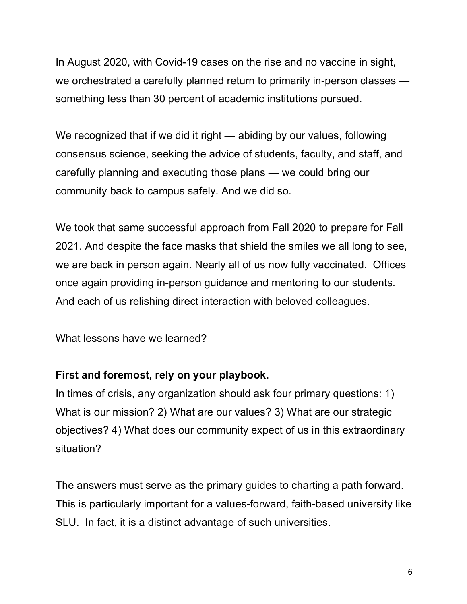In August 2020, with Covid-19 cases on the rise and no vaccine in sight, we orchestrated a carefully planned return to primarily in-person classes something less than 30 percent of academic institutions pursued.

We recognized that if we did it right — abiding by our values, following consensus science, seeking the advice of students, faculty, and staff, and carefully planning and executing those plans — we could bring our community back to campus safely. And we did so.

We took that same successful approach from Fall 2020 to prepare for Fall 2021. And despite the face masks that shield the smiles we all long to see, we are back in person again. Nearly all of us now fully vaccinated. Offices once again providing in-person guidance and mentoring to our students. And each of us relishing direct interaction with beloved colleagues.

What lessons have we learned?

### **First and foremost, rely on your playbook.**

In times of crisis, any organization should ask four primary questions: 1) What is our mission? 2) What are our values? 3) What are our strategic objectives? 4) What does our community expect of us in this extraordinary situation?

The answers must serve as the primary guides to charting a path forward. This is particularly important for a values-forward, faith-based university like SLU. In fact, it is a distinct advantage of such universities.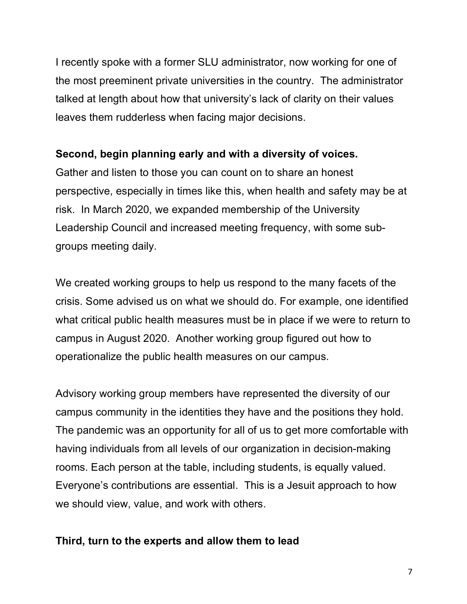I recently spoke with a former SLU administrator, now working for one of the most preeminent private universities in the country. The administrator talked at length about how that university's lack of clarity on their values leaves them rudderless when facing major decisions.

#### **Second, begin planning early and with a diversity of voices.**

Gather and listen to those you can count on to share an honest perspective, especially in times like this, when health and safety may be at risk. In March 2020, we expanded membership of the University Leadership Council and increased meeting frequency, with some subgroups meeting daily.

We created working groups to help us respond to the many facets of the crisis. Some advised us on what we should do. For example, one identified what critical public health measures must be in place if we were to return to campus in August 2020. Another working group figured out how to operationalize the public health measures on our campus.

Advisory working group members have represented the diversity of our campus community in the identities they have and the positions they hold. The pandemic was an opportunity for all of us to get more comfortable with having individuals from all levels of our organization in decision-making rooms. Each person at the table, including students, is equally valued. Everyone's contributions are essential. This is a Jesuit approach to how we should view, value, and work with others.

#### **Third, turn to the experts and allow them to lead**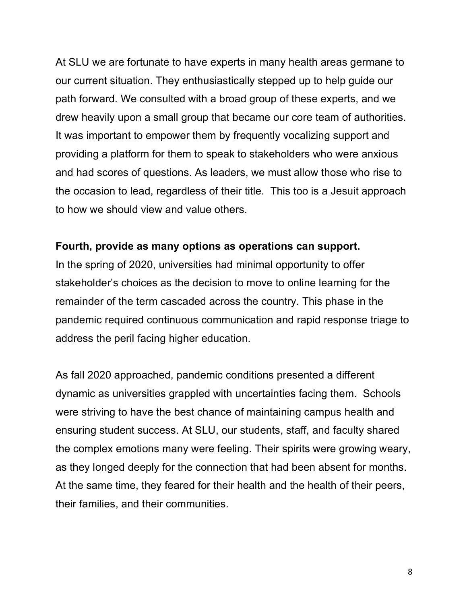At SLU we are fortunate to have experts in many health areas germane to our current situation. They enthusiastically stepped up to help guide our path forward. We consulted with a broad group of these experts, and we drew heavily upon a small group that became our core team of authorities. It was important to empower them by frequently vocalizing support and providing a platform for them to speak to stakeholders who were anxious and had scores of questions. As leaders, we must allow those who rise to the occasion to lead, regardless of their title. This too is a Jesuit approach to how we should view and value others.

#### **Fourth, provide as many options as operations can support.**

In the spring of 2020, universities had minimal opportunity to offer stakeholder's choices as the decision to move to online learning for the remainder of the term cascaded across the country. This phase in the pandemic required continuous communication and rapid response triage to address the peril facing higher education.

As fall 2020 approached, pandemic conditions presented a different dynamic as universities grappled with uncertainties facing them. Schools were striving to have the best chance of maintaining campus health and ensuring student success. At SLU, our students, staff, and faculty shared the complex emotions many were feeling. Their spirits were growing weary, as they longed deeply for the connection that had been absent for months. At the same time, they feared for their health and the health of their peers, their families, and their communities.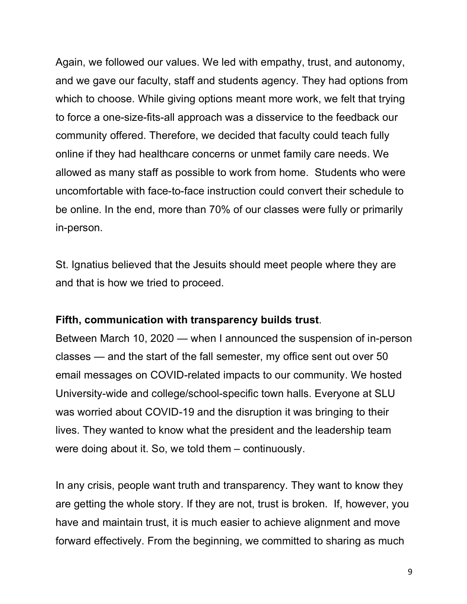Again, we followed our values. We led with empathy, trust, and autonomy, and we gave our faculty, staff and students agency. They had options from which to choose. While giving options meant more work, we felt that trying to force a one-size-fits-all approach was a disservice to the feedback our community offered. Therefore, we decided that faculty could teach fully online if they had healthcare concerns or unmet family care needs. We allowed as many staff as possible to work from home. Students who were uncomfortable with face-to-face instruction could convert their schedule to be online. In the end, more than 70% of our classes were fully or primarily in-person.

St. Ignatius believed that the Jesuits should meet people where they are and that is how we tried to proceed.

### **Fifth, communication with transparency builds trust**.

Between March 10, 2020 — when I announced the suspension of in-person classes — and the start of the fall semester, my office sent out over 50 email messages on COVID-related impacts to our community. We hosted University-wide and college/school-specific town halls. Everyone at SLU was worried about COVID-19 and the disruption it was bringing to their lives. They wanted to know what the president and the leadership team were doing about it. So, we told them – continuously.

In any crisis, people want truth and transparency. They want to know they are getting the whole story. If they are not, trust is broken. If, however, you have and maintain trust, it is much easier to achieve alignment and move forward effectively. From the beginning, we committed to sharing as much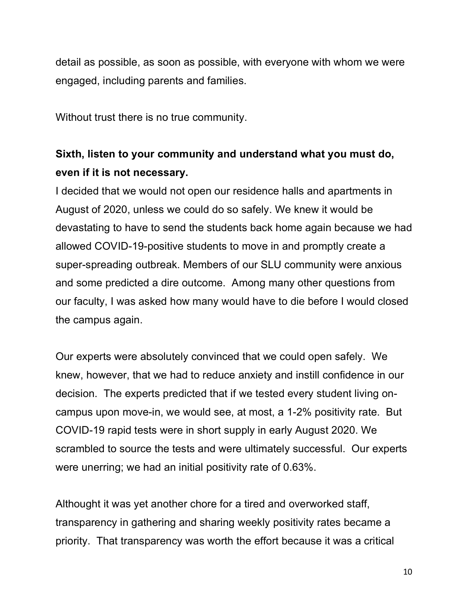detail as possible, as soon as possible, with everyone with whom we were engaged, including parents and families.

Without trust there is no true community.

## **Sixth, listen to your community and understand what you must do, even if it is not necessary.**

I decided that we would not open our residence halls and apartments in August of 2020, unless we could do so safely. We knew it would be devastating to have to send the students back home again because we had allowed COVID-19-positive students to move in and promptly create a super-spreading outbreak. Members of our SLU community were anxious and some predicted a dire outcome. Among many other questions from our faculty, I was asked how many would have to die before I would closed the campus again.

Our experts were absolutely convinced that we could open safely. We knew, however, that we had to reduce anxiety and instill confidence in our decision. The experts predicted that if we tested every student living oncampus upon move-in, we would see, at most, a 1-2% positivity rate. But COVID-19 rapid tests were in short supply in early August 2020. We scrambled to source the tests and were ultimately successful. Our experts were unerring; we had an initial positivity rate of 0.63%.

Althought it was yet another chore for a tired and overworked staff, transparency in gathering and sharing weekly positivity rates became a priority. That transparency was worth the effort because it was a critical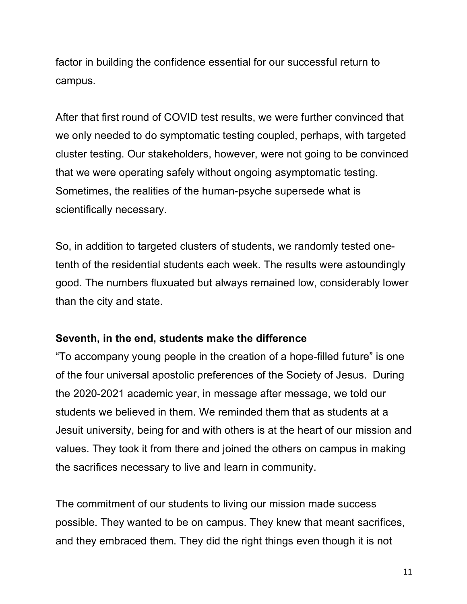factor in building the confidence essential for our successful return to campus.

After that first round of COVID test results, we were further convinced that we only needed to do symptomatic testing coupled, perhaps, with targeted cluster testing. Our stakeholders, however, were not going to be convinced that we were operating safely without ongoing asymptomatic testing. Sometimes, the realities of the human-psyche supersede what is scientifically necessary.

So, in addition to targeted clusters of students, we randomly tested onetenth of the residential students each week. The results were astoundingly good. The numbers fluxuated but always remained low, considerably lower than the city and state.

#### **Seventh, in the end, students make the difference**

"To accompany young people in the creation of a hope-filled future" is one of the four universal apostolic preferences of the Society of Jesus. During the 2020-2021 academic year, in message after message, we told our students we believed in them. We reminded them that as students at a Jesuit university, being for and with others is at the heart of our mission and values. They took it from there and joined the others on campus in making the sacrifices necessary to live and learn in community.

The commitment of our students to living our mission made success possible. They wanted to be on campus. They knew that meant sacrifices, and they embraced them. They did the right things even though it is not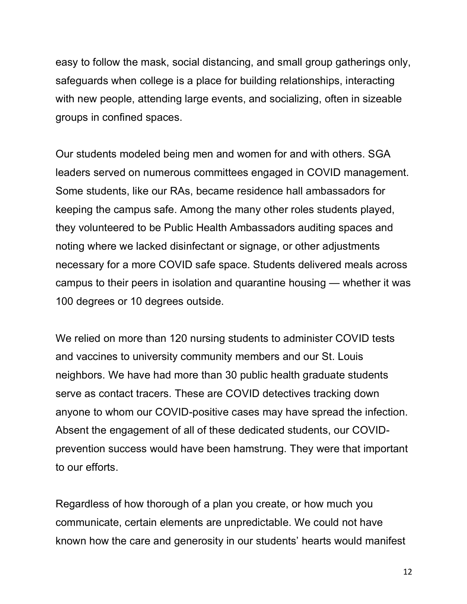easy to follow the mask, social distancing, and small group gatherings only, safeguards when college is a place for building relationships, interacting with new people, attending large events, and socializing, often in sizeable groups in confined spaces.

Our students modeled being men and women for and with others. SGA leaders served on numerous committees engaged in COVID management. Some students, like our RAs, became residence hall ambassadors for keeping the campus safe. Among the many other roles students played, they volunteered to be Public Health Ambassadors auditing spaces and noting where we lacked disinfectant or signage, or other adjustments necessary for a more COVID safe space. Students delivered meals across campus to their peers in isolation and quarantine housing — whether it was 100 degrees or 10 degrees outside.

We relied on more than 120 nursing students to administer COVID tests and vaccines to university community members and our St. Louis neighbors. We have had more than 30 public health graduate students serve as contact tracers. These are COVID detectives tracking down anyone to whom our COVID-positive cases may have spread the infection. Absent the engagement of all of these dedicated students, our COVIDprevention success would have been hamstrung. They were that important to our efforts.

Regardless of how thorough of a plan you create, or how much you communicate, certain elements are unpredictable. We could not have known how the care and generosity in our students' hearts would manifest